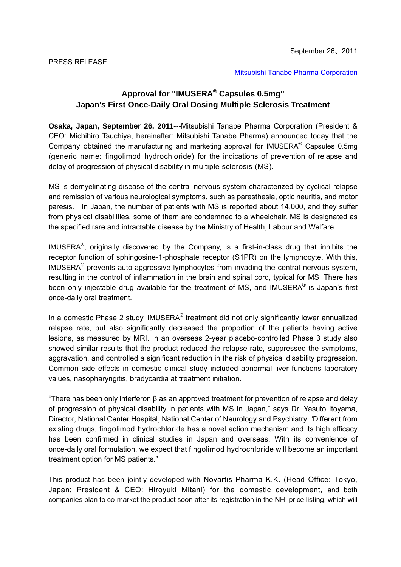[Mitsubishi Tanabe Pharma Corporation](http://www.mt-pharma.co.jp/e/index.php) 

## **Approval for "IMUSERA® Capsules 0.5mg" Japan's First Once-Daily Oral Dosing Multiple Sclerosis Treatment**

**Osaka, Japan, September 26, 2011---**Mitsubishi Tanabe Pharma Corporation (President & CEO: Michihiro Tsuchiya, hereinafter: Mitsubishi Tanabe Pharma) announced today that the Company obtained the manufacturing and marketing approval for IMUSERA® Capsules 0.5mg (generic name: fingolimod hydrochloride) for the indications of prevention of relapse and delay of progression of physical disability in multiple sclerosis (MS).

MS is demyelinating disease of the central nervous system characterized by cyclical relapse and remission of various neurological symptoms, such as paresthesia, optic neuritis, and motor paresis. In Japan, the number of patients with MS is reported about 14,000, and they suffer from physical disabilities, some of them are condemned to a wheelchair. MS is designated as the specified rare and intractable disease by the Ministry of Health, Labour and Welfare.

IMUSERA®, originally discovered by the Company, is a first-in-class drug that inhibits the receptor function of sphingosine-1-phosphate receptor (S1PR) on the lymphocyte. With this, IMUSERA® prevents auto-aggressive lymphocytes from invading the central nervous system, resulting in the control of inflammation in the brain and spinal cord, typical for MS. There has been only injectable drug available for the treatment of MS, and IMUSERA<sup>®</sup> is Japan's first once-daily oral treatment.

In a domestic Phase 2 study, IMUSERA® treatment did not only significantly lower annualized relapse rate, but also significantly decreased the proportion of the patients having active lesions, as measured by MRI. In an overseas 2-year placebo-controlled Phase 3 study also showed similar results that the product reduced the relapse rate, suppressed the symptoms, aggravation, and controlled a significant reduction in the risk of physical disability progression. Common side effects in domestic clinical study included abnormal liver functions laboratory values, nasopharyngitis, bradycardia at treatment initiation.

"There has been only interferon β as an approved treatment for prevention of relapse and delay of progression of physical disability in patients with MS in Japan," says Dr. Yasuto Itoyama, Director, National Center Hospital, National Center of Neurology and Psychiatry. "Different from existing drugs, fingolimod hydrochloride has a novel action mechanism and its high efficacy has been confirmed in clinical studies in Japan and overseas. With its convenience of once-daily oral formulation, we expect that fingolimod hydrochloride will become an important treatment option for MS patients."

This product has been jointly developed with Novartis Pharma K.K. (Head Office: Tokyo, Japan; President & CEO: Hiroyuki Mitani) for the domestic development, and both companies plan to co-market the product soon after its registration in the NHI price listing, which will